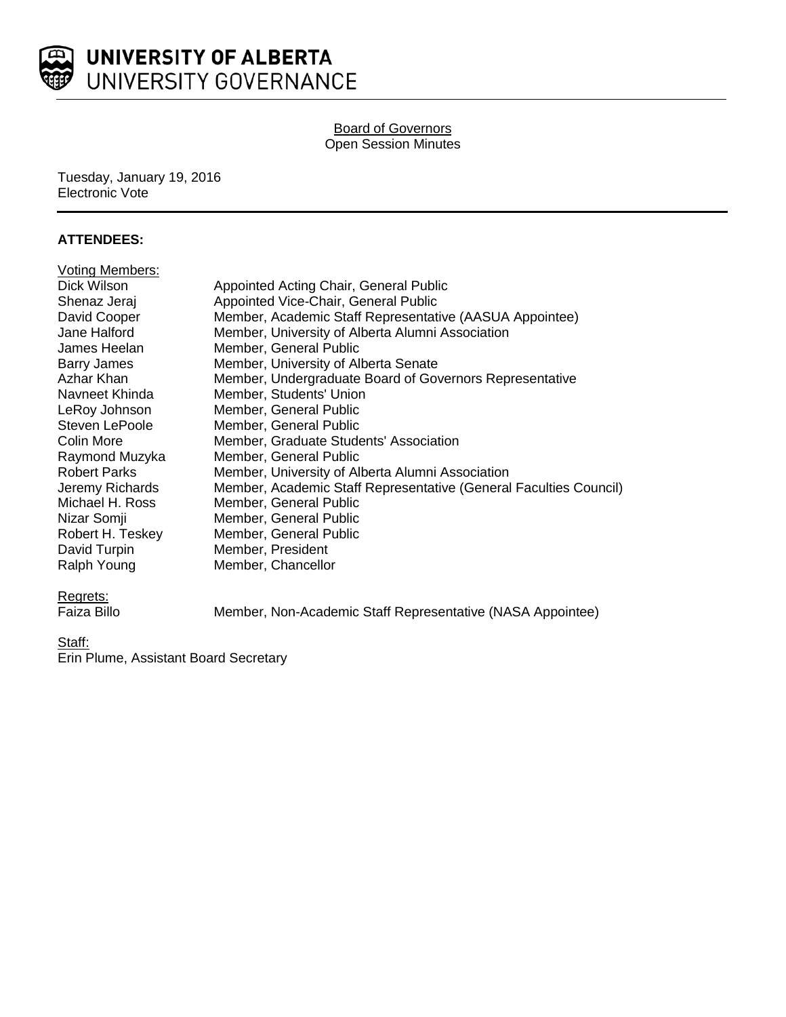

## Board of Governors Open Session Minutes

Tuesday, January 19, 2016 Electronic Vote

## **ATTENDEES:**

| <b>Voting Members:</b> |                                                                   |
|------------------------|-------------------------------------------------------------------|
| Dick Wilson            | Appointed Acting Chair, General Public                            |
| Shenaz Jeraj           | Appointed Vice-Chair, General Public                              |
| David Cooper           | Member, Academic Staff Representative (AASUA Appointee)           |
| Jane Halford           | Member, University of Alberta Alumni Association                  |
| James Heelan           | Member, General Public                                            |
| <b>Barry James</b>     | Member, University of Alberta Senate                              |
| Azhar Khan             | Member, Undergraduate Board of Governors Representative           |
| Navneet Khinda         | Member, Students' Union                                           |
| LeRoy Johnson          | Member, General Public                                            |
| Steven LePoole         | Member, General Public                                            |
| Colin More             | Member, Graduate Students' Association                            |
| Raymond Muzyka         | Member, General Public                                            |
| <b>Robert Parks</b>    | Member, University of Alberta Alumni Association                  |
| Jeremy Richards        | Member, Academic Staff Representative (General Faculties Council) |
| Michael H. Ross        | Member, General Public                                            |
| Nizar Somji            | Member, General Public                                            |
| Robert H. Teskey       | Member, General Public                                            |
| David Turpin           | Member, President                                                 |
| Ralph Young            | Member, Chancellor                                                |
|                        |                                                                   |

Regrets:<br>Faiza Billo

Member, Non-Academic Staff Representative (NASA Appointee)

Staff:

**Erin Plume, Assistant Board Secretary**